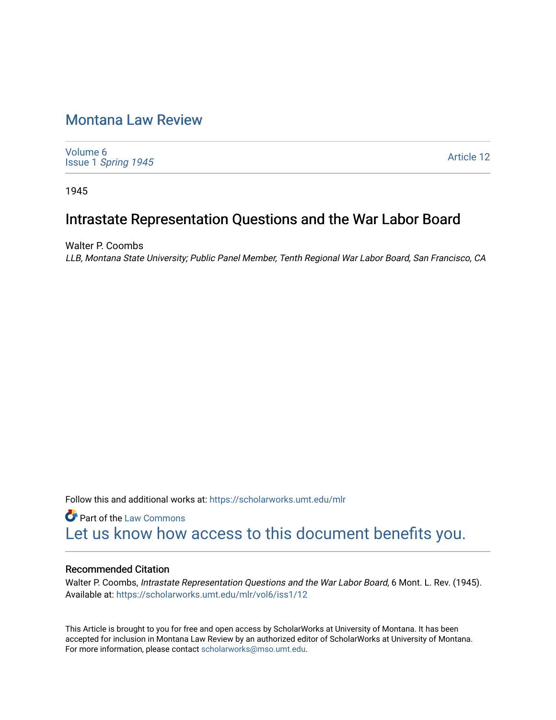# [Montana Law Review](https://scholarworks.umt.edu/mlr)

[Volume 6](https://scholarworks.umt.edu/mlr/vol6) Issue 1 [Spring 1945](https://scholarworks.umt.edu/mlr/vol6/iss1) 

[Article 12](https://scholarworks.umt.edu/mlr/vol6/iss1/12) 

1945

# Intrastate Representation Questions and the War Labor Board

Walter P. Coombs

LLB, Montana State University; Public Panel Member, Tenth Regional War Labor Board, San Francisco, CA

Follow this and additional works at: [https://scholarworks.umt.edu/mlr](https://scholarworks.umt.edu/mlr?utm_source=scholarworks.umt.edu%2Fmlr%2Fvol6%2Fiss1%2F12&utm_medium=PDF&utm_campaign=PDFCoverPages) 

**Part of the [Law Commons](http://network.bepress.com/hgg/discipline/578?utm_source=scholarworks.umt.edu%2Fmlr%2Fvol6%2Fiss1%2F12&utm_medium=PDF&utm_campaign=PDFCoverPages)** [Let us know how access to this document benefits you.](https://goo.gl/forms/s2rGfXOLzz71qgsB2) 

# Recommended Citation

Walter P. Coombs, Intrastate Representation Questions and the War Labor Board, 6 Mont. L. Rev. (1945). Available at: [https://scholarworks.umt.edu/mlr/vol6/iss1/12](https://scholarworks.umt.edu/mlr/vol6/iss1/12?utm_source=scholarworks.umt.edu%2Fmlr%2Fvol6%2Fiss1%2F12&utm_medium=PDF&utm_campaign=PDFCoverPages) 

This Article is brought to you for free and open access by ScholarWorks at University of Montana. It has been accepted for inclusion in Montana Law Review by an authorized editor of ScholarWorks at University of Montana. For more information, please contact [scholarworks@mso.umt.edu.](mailto:scholarworks@mso.umt.edu)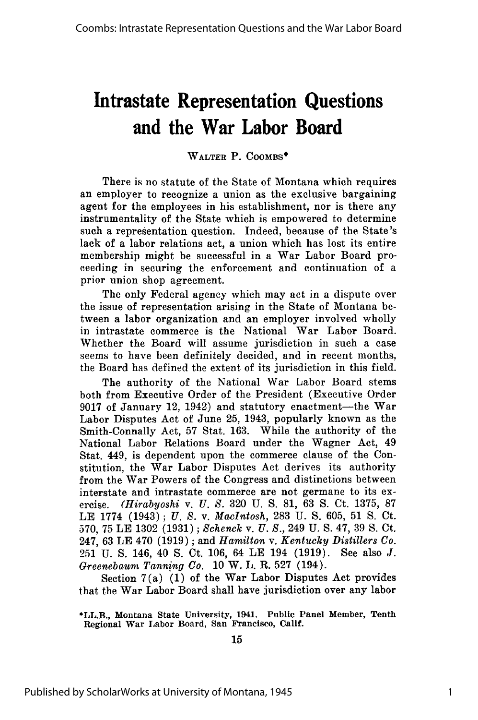# **Intrastate Representation Questions and the War Labor Board**

**WALTER** P. **COOMBS\***

There is no statute of the State of Montana which requires an employer to recognize a union as the exclusive bargaining agent for the employees in his establishment, nor is there any instrumentality of the State which is empowered to determine such a representation question. Indeed, because of the State's lack of a labor relations act, a union which has lost its entire membership might be successful in a War Labor Board proceeding in securing the enforcement and continuation of a prior union shop agreement.

The only Federal agency which may act in a dispute over the issue of representation arising in the State of Montana between a labor organization and an employer involved wholly in intrastate commerce is the National War Labor Board. Whether the Board will assume jurisdiction in such a case seems to have been definitely decided, and in recent months, the Board has defined the extent of its jurisdiction in this field.

The authority of the National War Labor Board stems both from Executive Order of the President (Executive Order 9017 of January 12, 1942) and statutory enactment-the War Labor Disputes Act of June 25, 1943, popularly known as the Smith-Connally Act, 57 Stat. 163. While the authority of the National Labor Relations Board under the Wagner Act, 49 Stat. 449, is dependent upon the commerce clause of the Constitution, the War Labor Disputes Act derives its authority from the War Powers of the Congress and distinctions between interstate and intrastate commerce are not germane to its exercise. *(Hirabyoshi v. U. S.* 320 U. **S.** 81, 63 **S.** Ct. 1375, 87 LE 1774 (1943); *U. S.* v. *MacIntosh,* 283 U. **S.** 605, 51 **S.** Ct. 570, 75 LE 1302 (1931) **;** *Schenck v. U. S.,* 249 U. **S.** 47, 39 S. Ct. 247, 63 LE 470 (1919) **;** and *Hamilton* v. *Kentucky Distillers Co.* 251 U. **S.** 146, 40 **S.** Ct. 106, 64 LE 194 (1919). See also *J. Greenebaum Tanning Co.* 10 W. L. R. 527 (194).

Section 7(a) (1) of the War Labor Disputes Act provides that the War Labor Board shall have jurisdiction over any labor

<sup>\*</sup>LL.B., Montana State University, **1941.** Public Panel Member, Tenth Regional War Labor Board, San Francisco, Calif.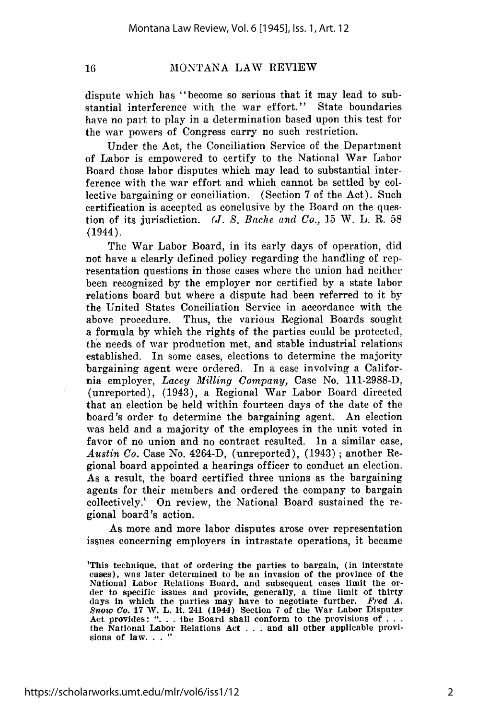16

#### MONTANA LAW REVIEW

dispute which has "become so serious that it may lead to substantial interference with the war effort." State boundaries have no part to play in a determination based upon this test for the war powers of Congress carry no such restriction.

Under the Act, the Conciliation Service of the Department of Labor is empowered to certify to the National War Labor Board those labor disputes which may lead to substantial interference with the war effort and which cannot be settled by collective bargaining or conciliation. (Section 7 of the Act). Such certification is accepted as conclusive by the Board on the question of its jurisdiction. *(J. S.* Bache *and* Co., 15 W. L. R. 58 (1944).

The War Labor Board, in its early days of operation, did not have a clearly defined policy regarding the handling of representation questions in those cases where the union had neither been recognized by the employer nor certified by a state labor relations board but where a dispute had been referred to it by the United States Conciliation Service in accordance with the above procedure. Thus, the various Regional Boards sought a formula by which the rights of the parties could be protected, the needs of war production met, and stable industrial relations established. In some cases, elections to determine the majority bargaining agent were ordered. In a case involving a California employer, *Lacey Milling Company,* Case No. 111-2988-D, (unreported), (1943), a Regional War Labor Board directed that an election be held within fourteen days of the date of the board's order to determine the bargaining agent. An election was held and a majority of the employees in the unit voted in favor of no union and no contract resulted. In a similar case, *Austin Co.* Case No. 4264-D, (unreported), (1943) **;** another Regional board appointed a hearings officer to conduct an election. As a result, the board certified three unions as the bargaining agents for their members and ordered the company to bargain collectively.' On review, the National Board sustained the regional board's action.

As more and more labor disputes arose over representation issues concerning employers in intrastate operations, it became

<sup>&#</sup>x27;This technique, that of ordering the parties to bargain, (in interstate cases), was later determined to be an invasion of the province of the National Labor Relations Board, and subsequent cases limit the order to specific issues and provide, generally, a time limit of thirty days in which the parties may have to negotiate further. Fred A.<br>Snow Co. 17 W. L. R. 241 (1944) Section 7 of the War Labor Disputes<br>Act provides: "... the Board shall conform to the provisions of ...<br>the National Labor Re the National Labor Relations Act . . . and all other applicable provisions of law. . . "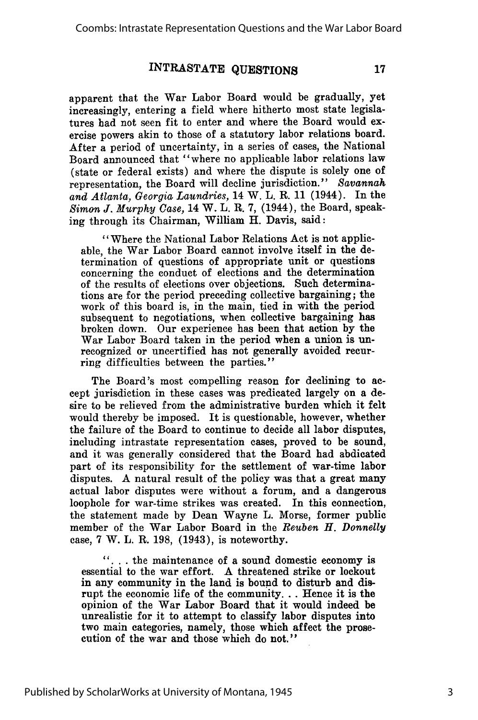# **INTRASTATE QUESTIONS**

apparent that the War Labor Board would be gradually, yet increasingly, entering a field where hitherto most state legislatures had not seen fit to enter and where the Board would exercise powers akin to those of a statutory labor relations board. After a period of uncertainty, in a series of cases, the National Board announced that "where no applicable labor relations law (state or federal exists) and where the dispute is solely one of representation, the Board will decline jurisdiction." *Savannah and Atlanta, Georgia Laundries,* 14 W. L. R. **11** (1944). In the Simon *J. Murphy Case,* 14 W. L. R. 7, (1944), the Board, speaking through its Chairman, William H. Davis, said:

"Where the National Labor Relations Act is not applicable, the War Labor Board cannot involve itself in the determination of questions of appropriate unit or questions concerning the conduct of elections and the determination of the results of elections over objections. Such determinations are for the period preceding collective bargaining; the work of this board is, in the main, tied in with the period subsequent to negotiations, when collective bargaining has broken down. Our experience has been that action by the War Labor Board taken in the period when a union is unrecognized or uncertified has not generally avoided recurring difficulties between the parties."

The Board's most compelling reason for declining to accept jurisdiction in these cases was predicated largely on a desire to be relieved from the administrative burden which it felt would thereby be imposed. It is questionable, however, whether the failure of the Board to continue to decide all labor disputes, including intrastate representation cases, proved to be sound, and it was generally considered that the Board had abdicated part of its responsibility for the settlement of war-time labor disputes. A natural result of the policy was that a great many actual labor disputes were without a forum, and a dangerous loophole for war-time strikes was created. In this connection, the statement made by Dean Wayne L. Morse, former public member of the War Labor Board in the *Reuben H. Donnelly* case, 7 W. L. R. 198, (1943), is noteworthy.

**"...** the maintenance of a sound domestic economy is essential to the war effort. A threatened strike or lockout in any community in the land is bound to disturb and disrupt the economic life of the community... Hence it is the opinion of the War Labor Board that it would indeed be unrealistic for it to attempt to classify labor disputes into two main categories, namely, those which affect the prosecution of the war and those which do not."

17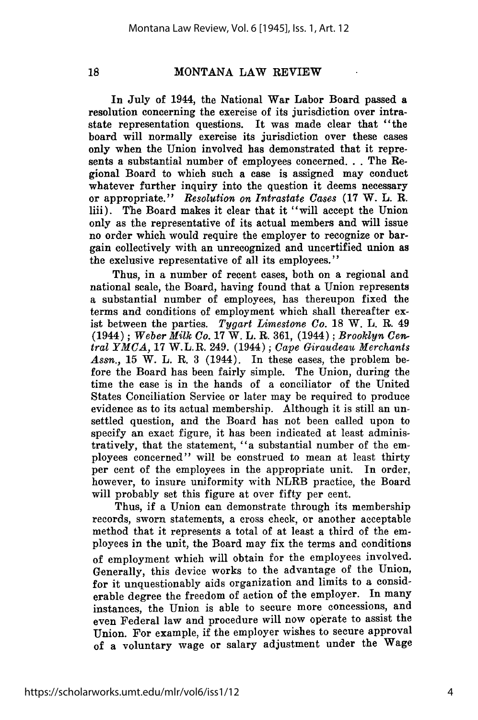18

### MONTANA LAW REVIEW

In July of 1944, the National War Labor Board passed a resolution concerning the exercise of its jurisdiction over intrastate representation questions. It was made clear that "the board will normally exercise its jurisdiction over these cases only when the Union involved has demonstrated that it represents a substantial number of employees concerned. **.** . The Regional Board to which such a case is assigned may conduct whatever further inquiry into the question it deems necessary or appropriate." *Resolution on Intrastate Cases* (17 W. L. R. liii). The Board makes it clear that it "will accept the Union only as the representative of its actual members and will issue no order which would require the employer to recognize or bargain collectively with an unrecognized and uncertified union as the exclusive representative of all its employees."

Thus, in a number of recent cases, both on a regional and national scale, the Board, having found that a Union represents a substantial number of employees, has thereupon fixed the terms and conditions of employment which shall thereafter exist between the parties. *Tygart Limestone Co.* 18 W. L. R. 49 (1944) ; *Weber Milk Co.* 17 W. L. R. 361, (1944) ; *Brooklyn Cen. tral YMCA,* 17 W.L.R. 249. (1944); *Cape Giraudeau Merchants Assn.,* 15 W. L. R. 3 (1944). In these cases, the problem before the Board has been fairly simple. The Union, during the time the case is in the hands of a conciliator of the United States Conciliation Service or later may be required to produce evidence as to its actual membership. Although it is still an unsettled question, and the Board has not been called upon to specify an exact figure, it has been indicated at least administratively, that the statement, "a substantial number of the employees concerned" will be construed to mean at least thirty per cent of the employees in the appropriate unit. In order, however, to insure uniformity with NLRB practice, the Board will probably set this figure at over fifty per cent.

Thus, if a Union can demonstrate through its membership records, sworn statements, a cross check, or another acceptable method that it represents a total of at least a third of the employees in the unit, the Board may fix the terms and conditions of employment which will obtain for the employees involved. Generally, this device works to the advantage of the Union, for it unquestionably aids organization and limits to a considerable degree the freedom of action of the employer. In many instances, the Union is able to secure more concessions, and even Federal law and procedure will now operate to assist the Union. For example, if the employer wishes to secure approval of a voluntary wage or salary adjustment under the Wage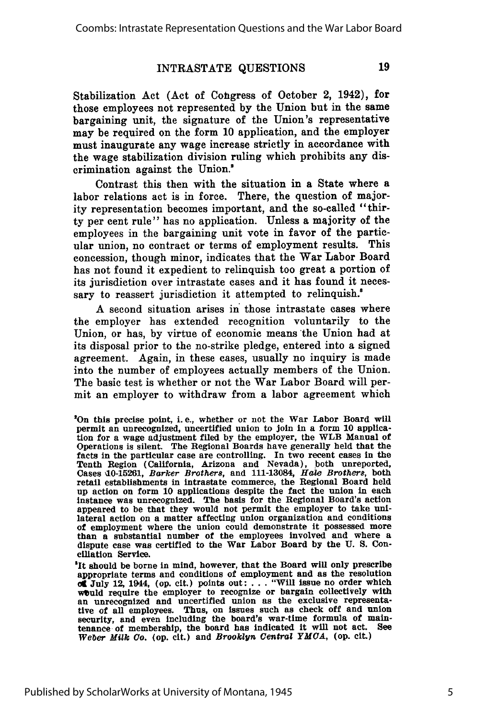#### INTRASTATE **QUESTIONS**

Stabilization Act (Act of Congress of October 2, 1942), for those employees not represented **by** the Union but in the same bargaining unit, the signature of the Union's representative may be required on the form **10** application, and the employer must inaugurate any wage increase strictly in accordance with the wage stabilization division ruling which prohibits any discrimination against the Union.<sup>3</sup>

Contrast this then with the situation in a State where a labor relations act is in force. There, the question of majority representation becomes important, and the so-called "thirty per cent rule" has no application. Unless a majority of the employees in the bargaining unit vote in favor of the particular union, no contract or terms of employment results. This concession, though minor, indicates that the War Labor Board has not found it expedient to relinquish too great a portion of its jurisdiction over intrastate cases and it has found it necessary to reassert jurisdiction it attempted to relinquish.<sup>8</sup>

A second situation arises in those intrastate cases where the employer has extended recognition voluntarily to the Union, or has, **by** virtue of economic means the Union had at its disposal prior to the no-strike pledge, entered into a signed agreement. Again, in these cases, usually no inquiry is made into the number of employees actually members of the Union. The basic test is whether or not the War Labor Board will permit an employer to withdraw from a labor agreement which

'It should be borne in mind, however, that the Board will only prescribe appropriate terms and conditions of employment and as the resolution **ot** July 12, 1944, (op. cit.) points out: ... "Will issue no order which would require the employer to recognize or bargain collectively with an unrecognized and uncertified union as the exclusive representative of all employees. Thus, on issues such as check off and union security, and even including the board's war-time formula of main-tenance of membership, the board has indicated it will not act. See *Weber Milk Co.* (op. cit.) and *Brooklyn Central YMCA,* (op. **cit)**

**<sup>20</sup>n** this precise point, **i.e.,** whether or not the War Labor Board will permit an unrecognized, uncertified union to join in a form **10** application for a wage adjustment filed **by** the employer, the WLB Manual of Operations is silent. The Regional Boards have generally held that the facts in the particular case are controlling. In two recent cases in the Tenth Region (California, Arizona and Nevada), both unreported, Cases '10-15261, *Barker Brothers,* and 111-13084, *Hale Brothers,* both retail establishments in intrastate commerce, the Regional Board held up action on form 10 applications despite the fact the union in each Instance was unrecognized. The basis for the Regional Board's action appeared to be that they would not permit the employer to take unilateral action on a matter affecting union organization and conditions of employment where the union could demonstrate it possessed more than a substantial number of the employees involved and where a dispute case was certified to the War Labor Board by the U. **S.** Conciliation Service.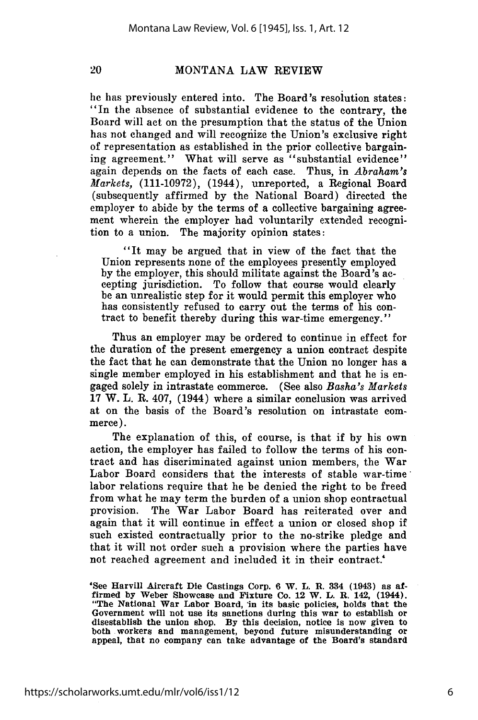20

## MONTANA LAW REVIEW

**he** has previously entered into. The Board's resolution states: "In the absence of substantial evidence to the contrary, the Board will act on the presumption that the status of the Union has not changed and will recognize the Union's exclusive right of representation as established in the prior collective bargaining agreement." What will serve as "substantial evidence" again depends on the facts of each case. Thus, in *Abraham's Markets,* **(111-10972),** (1944), unreported, a Regional Board (subsequently affirmed **by** the National Board) directed the employer to abide **by** the terms of a collective bargaining agreement wherein the employer had voluntarily extended recognition to a union. The majority opinion states:

"It may be argued that in view of the fact that the Union represents none of the employees presently employed **by** the employer, this should militate against the Board's accepting jurisdiction. To follow that course would clearly be an unrealistic step for it would permit this employer who has consistently refused to carry out the terms of his contract to benefit thereby during this war-time emergency."

Thus an employer may be ordered to continue in effect for the duration of the present emergency a union contract despite the fact that he can demonstrate that the Union no longer has a single member employed in his establishment and that he is engaged solely in intrastate commerce. (See also *Basha's Markets* **17** W. L. R. 407, (1944) where a similar conclusion was arrived at on the basis of the Board's resolution on intrastate commerce).

The explanation of this, of course, is that if **by** his own action, the employer has failed to follow the terms of his contract and has discriminated against union members, the War Labor Board considers that the interests of stable war-time labor relations require that he be denied the right to be freed from what he may term the burden of a union shop contractual provision. The War Labor Board has reiterated over and again that it will continue in effect a union or closed shop if such existed contractually prior to the no-strike pledge and that it will not order such a provision where the parties have not reached agreement and included it in their contract.'

'See Harvill Aircraft Die Castings Corp. **6** W. L. B. 334 (1943) as affirmed **by** Weber Showcase and Fixture Co. 12 W. L. **R.** 142, (1944). "The National War Labor Board, -in its basic policies, holds that the Government will not use its sanctions during this war to establish or disestablish the union shop. **By** this decision, notice is now given to disestablish the union shop. By this decision, notice is now given to both workers and management, beyond future misunderstanding or appeal, that no company can take advantage of the Board's standard